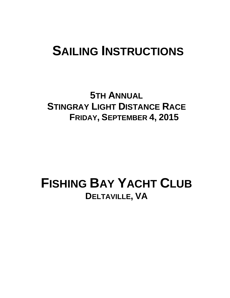# **SAILING INSTRUCTIONS**

**5TH ANNUAL STINGRAY LIGHT DISTANCE RACE FRIDAY, SEPTEMBER 4, 2015**

# **FISHING BAY YACHT CLUB DELTAVILLE, VA**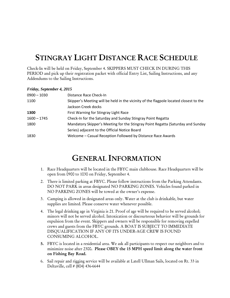# STINGRAY LIGHT DISTANCE RACE SCHEDULE

Check-In will be held on Friday, September 4. SKIPPERS MUST CHECK IN DURING THIS PERIOD and pick up their registration packet with official Entry List, Sailing Instructions, and any Addendums to the Sailing Instructions.

### *Friday, September 4, 2015*

| $0900 - 1030$ | Distance Race Check-In                                                                |
|---------------|---------------------------------------------------------------------------------------|
| 1100          | Skipper's Meeting will be held in the vicinity of the flagpole located closest to the |
|               | Jackson Creek docks                                                                   |
| 1300          | First Warning for Stingray Light Race                                                 |
| $1600 - 1745$ | Check-In for the Saturday and Sunday Stingray Point Regatta                           |
| 1800          | Mandatory Skipper's Meeting for the Stingray Point Regatta (Saturday and Sunday       |
|               | Series) adjacent to the Official Notice Board                                         |
| 1830          | Welcome - Casual Reception Followed by Distance Race Awards                           |

# GENERAL INFORMATION

- 1. Race Headquarters will be located in the FBYC main clubhouse. Race Headquarters will be open from 0900 to 1030 on Friday, September 4.
- 2. There is limited parking at FBYC. Please follow instructions from the Parking Attendants. DO NOT PARK in areas designated NO PARKING ZONES. Vehicles found parked in NO PARKING ZONES will be towed at the owner's expense.
- 3. Camping is allowed in designated areas only. Water at the club is drinkable, but water supplies are limited. Please conserve water whenever possible.
- 4. The legal drinking age in Virginia is 21. Proof of age will be required to be served alcohol; minors will not be served alcohol. Intoxication or discourteous behavior will be grounds for expulsion from the event. Skippers and owners will be responsible for removing expelled crews and guests from the FBYC grounds. A BOAT IS SUBJECT TO IMMEDIATE DISQUALIFICATION IF ANY OF ITS UNDER-AGE CREW IS FOUND CONSUMING ALCOHOL.
- 5. FBYC is located in a residential area. We ask all participants to respect our neighbors and to minimize noise after 2300. Please OBEY the 15 MPH speed limit along the water front on Fishing Bay Road.
- 6. Sail repair and rigging service will be available at Latell Ullman Sails, located on Rt. 33 in Deltaville, cell # (804) 436-6644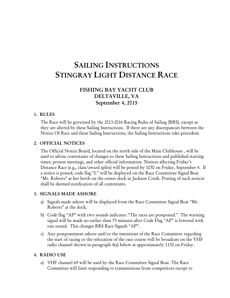# SAILING INSTRUCTIONS STINGRAY LIGHT DISTANCE RACE

# FISHING BAY YACHT CLUB DELTAVILLE, VA September 4, 2015

## 1. RULES

The Race will be governed by the 2013-2016 Racing Rules of Sailing (RRS), except as they are altered by these Sailing Instructions. If there are any discrepancies between the Notice Of Race and these Sailing Instructions, the Sailing Instructions take precedent.

### 2. OFFICIAL NOTICES

The Official Notice Board, located on the north side of the Main Clubhouse , will be used to advise contestants of changes to these Sailing Instructions and published starting times, protest meetings, and other official information. Notices affecting Friday's Distance Race (e.g., class/award splits) will be posted by 1030 on Friday, September 4. If a notice is posted, code flag "L" will be displayed on the Race Committee Signal Boat "Mr. Roberts" at her berth on the center dock in Jackson Creek. Posting of such notices shall be deemed notification of all contestants.

#### 3. SIGNALS MADE ASHORE

- a) Signals made ashore will be displayed from the Race Committee Signal Boat "Mr. Roberts" at the dock.
- b) Code flag "AP" with two sounds indicates: "The races are postponed." The warning signal will be made no earlier than 75 minutes after Code Flag "AP" is lowered with one sound. This changes RRS Race Signals "AP".
- c) Any postponement ashore and/or the intentions of the Race Committee regarding the start of racing or the relocation of the race course will be broadcast on the VHF radio channel shown in paragraph 4(a) below at approximately 1130 on Friday.

# 4. RADIO USE

a) VHF channel 69 will be used by the Race Committee Signal Boat. The Race Committee will limit responding to transmissions from competitors except to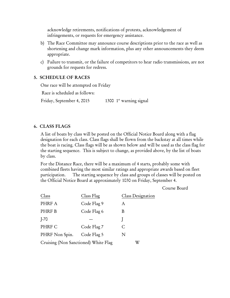acknowledge retirements, notifications of protests, acknowledgement of infringements, or requests for emergency assistance.

- b) The Race Committee may announce course descriptions prior to the race as well as shortening and change mark information, plus any other announcements they deem appropriate.
- c) Failure to transmit, or the failure of competitors to hear radio transmissions, are not grounds for requests for redress.

# 5. SCHEDULE OF RACES

One race will be attempted on Friday Race is scheduled as follows: Friday, September 4, 2015 1300  $1<sup>st</sup>$  warning signal

# 6. CLASS FLAGS

A list of boats by class will be posted on the Official Notice Board along with a flag designation for each class. Class flags shall be flown from the backstay at all times while the boat is racing. Class flags will be as shown below and will be used as the class flag for the starting sequence. This is subject to change, as provided above, by the list of boats by class.

For the Distance Race, there will be a maximum of 4 starts, probably some with combined fleets having the most similar ratings and appropriate awards based on fleet participation. The starting sequence by class and groups of classes will be posted on the Official Notice Board at approximately 1030 on Friday, September 4.

Course Board

| Class                                | Class Flag  | Class Designation |
|--------------------------------------|-------------|-------------------|
| PHRF A                               | Code Flag 9 | А                 |
| PHRF B                               | Code Flag 6 | B                 |
| $I-70$                               |             |                   |
| PHRF C                               | Code Flag 7 |                   |
| PHRF Non Spin.                       | Code Flag 5 | N                 |
| Cruising (Non Sanctioned) White Flag | W           |                   |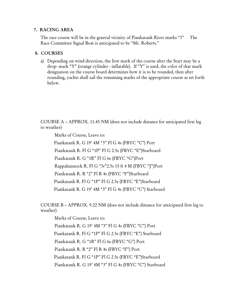# 7. RACING AREA

The race course will be in the general vicinity of Piankatank River marks "3" The Race Committee Signal Boat is anticipated to be "Mr. Roberts."

# 8. COURSES

a) Depending on wind direction, the first mark of the course after the Start may be a drop- mark "Y" (orange cylinder - inflatable). If "Y" is used, the color of that mark designation on the course board determines how it is to be rounded, then after rounding, yachts shall sail the remaining marks of the appropriate course as set forth below.

COURSE A – APPROX. 11.45 NM (does not include distance for anticipated first leg to weather)

Marks of Course, Leave to:

 Piankatank R. G 19' 4M "3" Fl G 4s (FBYC "C") Port Piankatank R. Fl G "1P" Fl G 2.5s (FBYC "E")Starboard Piankatank R. G "1R" Fl G 6s (FBYC "G")Port Rappahannock R. Fl G "3r"2.5s 15 ft 4 M (FBYC "J")Port Piankatank R. R "2" Fl R 4s (FBYC "F")Starboard Piankatank R. Fl G "1P" Fl G 2.5s (FBYC "E")Starboard Piankatank R. G 19' 4M "3" Fl G 4s (FBYC "C") Starboard

COURSE B – APPROX. 9.22 NM (does not include distance for anticipated first leg to weather)

 Marks of Course, Leave to: Piankatank R. G 19' 4M "3" Fl G 4s (FBYC "C") Port Piankatank R. Fl G "1P" Fl G 2.5s (FBYC "E") Starboard Piankatank R. G "1R" Fl G 6s (FBYC "G") Port Piankatank R. R "2" Fl R 4s (FBYC "F") Port Piankatank R. Fl G "1P" Fl G 2.5s (FBYC "E")Starboard Piankatank R. G 19' 4M "3" Fl G 4s (FBYC "C") Starboard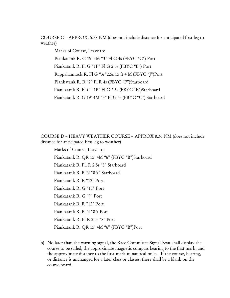COURSE C – APPROX. 5.78 NM (does not include distance for anticipated first leg to weather)

 Marks of Course, Leave to: Piankatank R. G 19' 4M "3" Fl G 4s (FBYC "C") Port Piankatank R. Fl G "1P" Fl G 2.5s (FBYC "E") Port Rappahannock R. Fl G "3r"2.5s 15 ft 4 M (FBYC "J")Port Piankatank R. R "2" Fl R 4s (FBYC "F")Starboard Piankatank R. Fl G "1P" Fl G 2.5s (FBYC "E")Starboard Piankatank R. G 19' 4M "3" Fl G 4s (FBYC "C") Starboard

COURSE D – HEAVY WEATHER COURSE – APPROX 8.36 NM (does not include distance for anticipated first leg to weather)

 Marks of Course, Leave to: Piankatank R. QR 15' 4M "6" (FBYC "B")Starboard Piankatank R. Fl. R 2.5s "8" Starboard Piankatank R. R N "8A" Starboard Piankatank R. R "12" Port Piankatank R. G "11" Port Piankatank R. G "9" Port Piankatank R. R "12" Port Piankatank R. R N "8A Port Piankatank R. Fl R 2.5s "8" Port Piankatank R. QR 15' 4M "6" (FBYC "B")Port

b) No later than the warning signal, the Race Committee Signal Boat shall display the course to be sailed, the approximate magnetic compass bearing to the first mark, and the approximate distance to the first mark in nautical miles. If the course, bearing, or distance is unchanged for a later class or classes, there shall be a blank on the course board.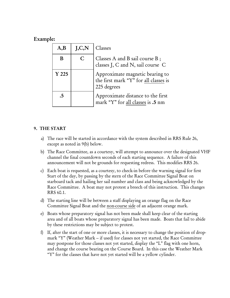# Example:

| A,B              | J, C, N | Classes                                                                                 |
|------------------|---------|-----------------------------------------------------------------------------------------|
| B                | C       | Classes A and B sail course B;<br>classes J, C and N, sail course C                     |
| Y <sub>225</sub> |         | Approximate magnetic bearing to<br>the first mark "Y" for all classes is<br>225 degrees |
| .5               |         | Approximate distance to the first<br>mark "Y" for all classes is .5 nm                  |

# 9. THE START

- a) The race will be started in accordance with the system described in RRS Rule 26, except as noted in 9(b) below.
- b) The Race Committee, as a courtesy, will attempt to announce over the designated VHF channel the final countdown seconds of each starting sequence. A failure of this announcement will not be grounds for requesting redress. This modifies RRS 26.
- c) Each boat is requested, as a courtesy, to check-in before the warning signal for first Start of the day, by passing by the stern of the Race Committee Signal Boat on starboard tack and hailing her sail number and class and being acknowledged by the Race Committee. A boat may not protest a breech of this instruction. This changes RRS 60.1.
- d) The starting line will be between a staff displaying an orange flag on the Race Committee Signal Boat and the non-course side of an adjacent orange mark.
- e) Boats whose preparatory signal has not been made shall keep clear of the starting area and of all boats whose preparatory signal has been made. Boats that fail to abide by these restrictions may be subject to protest.
- f) If, after the start of one or more classes, it is necessary to change the position of dropmark "Y" (Weather Mark -- if used) for classes not yet started, the Race Committee may postpone for those classes not yet started, display the "L" flag with one horn, and change the course bearing on the Course Board. In this case the Weather Mark "Y" for the classes that have not yet started will be a yellow cylinder.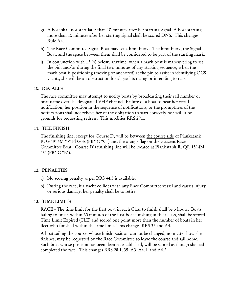- g) A boat shall not start later than 10 minutes after her starting signal. A boat starting more than 10 minutes after her starting signal shall be scored DNS. This changes Rule A4.
- h) The Race Committee Signal Boat may set a limit buoy. The limit buoy, the Signal Boat, and the space between them shall be considered to be part of the starting mark.
- i) In conjunction with 12 (b) below, anytime when a mark boat is maneuvering to set the pin, and/or during the final two minutes of any starting sequence, when the mark boat is positioning (moving or anchored) at the pin to assist in identifying OCS yachts, she will be an obstruction for all yachts racing or intending to race.

# 10. RECALLS

The race committee may attempt to notify boats by broadcasting their sail number or boat name over the designated VHF channel. Failure of a boat to hear her recall notification, her position in the sequence of notifications, or the promptness of the notifications shall not relieve her of the obligation to start correctly nor will it be grounds for requesting redress. This modifies RRS 29.1.

# 11. THE FINISH

The finishing line, except for Course D, will be between the course side of Piankatank R. G 19' 4M "3" Fl G 4s (FBYC "C") and the orange flag on the adjacent Race Committee Boat. Course D's finishing line will be located at Piankatank R. QR 15' 4M "6" (FBYC "B").

## 12. PENALTIES

- a) No scoring penalty as per RRS 44.3 is available.
- b) During the race, if a yacht collides with any Race Committee vessel and causes injury or serious damage, her penalty shall be to retire.

## 13. TIME LIMITS

RACE - The time limit for the first boat in each Class to finish shall be 3 hours. Boats failing to finish within 60 minutes of the first boat finishing in their class, shall be scored Time Limit Expired (TLE) and scored one point more than the number of boats in her fleet who finished within the time limit. This changes RRS 35 and A4.

A boat sailing the course, whose finish position cannot be changed, no matter how she finishes, may be requested by the Race Committee to leave the course and sail home. Such boat whose position has been deemed established, will be scored as though she had completed the race. This changes RRS 28.1, 35, A3, A4.1, and A4.2.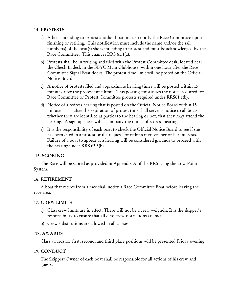# 14. PROTESTS

- a) A boat intending to protest another boat must so notify the Race Committee upon finishing or retiring. This notification must include the name and/or the sail number(s) of the boat(s) she is intending to protest and must be acknowledged by the Race Committee. This changes RRS 61.1(a).
- b) Protests shall be in writing and filed with the Protest Committee desk, located near the Check In desk in the FBYC Main Clubhouse, within one hour after the Race Committee Signal Boat docks. The protest time limit will be posted on the Official Notice Board.
- c) A notice of protests filed and approximate hearing times will be posted within 15 minutes after the protest time limit. This posting constitutes the notice required for Race Committee or Protest Committee protests required under RRS61.1(b).
- d) Notice of a redress hearing that is posted on the Official Notice Board within 15 minutes after the expiration of protest time shall serve as notice to all boats, whether they are identified as parties to the hearing or not, that they may attend the hearing. A sign up sheet will accompany the notice of redress hearing.
- e) It is the responsibility of each boat to check the Official Notice Board to see if she has been cited in a protest or if a request for redress involves her or her interests. Failure of a boat to appear at a hearing will be considered grounds to proceed with the hearing under RRS 63.3(b).

# 15. SCORING

The Race will be scored as provided in Appendix A of the RRS using the Low Point System.

# 16. RETIREMENT

A boat that retires from a race shall notify a Race Committee Boat before leaving the race area.

# 17. CREW LIMITS

- a) Class crew limits are in effect. There will not be a crew weigh-in. It is the skipper's responsibility to ensure that all class crew restrictions are met.
- b) Crew substitutions are allowed in all classes.

# 18. AWARDS

Class awards for first, second, and third place positions will be presented Friday evening.

# 19. CONDUCT

The Skipper/Owner of each boat shall be responsible for all actions of his crew and guests.